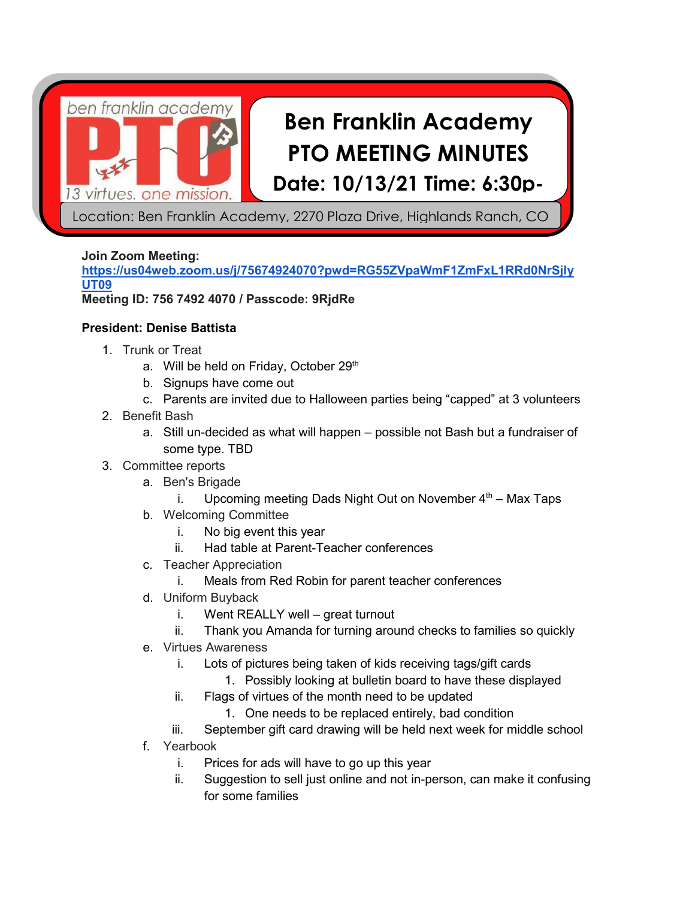ben franklin academy 3 virtues. one mission

# **Ben Franklin Academy PTO MEETING MINUTES Date: 10/13/21 Time: 6:30p-**

Location: Ben Franklin Academy, 2270 Plaza Drive, Highlands Ranch, CO

# **Join Zoom Meeting:**

**[https://us04web.zoom.us/j/75674924070?pwd=RG55ZVpaWmF1ZmFxL1RRd0NrSjly](https://us04web.zoom.us/j/75674924070?pwd=RG55ZVpaWmF1ZmFxL1RRd0NrSjlyUT09) [UT09](https://us04web.zoom.us/j/75674924070?pwd=RG55ZVpaWmF1ZmFxL1RRd0NrSjlyUT09) Meeting ID: 756 7492 4070 / Passcode: 9RjdRe**

# **President: Denise Battista**

- 1. Trunk or Treat
	- a. Will be held on Friday, October 29<sup>th</sup>
	- b. Signups have come out
	- c. Parents are invited due to Halloween parties being "capped" at 3 volunteers
- 2. Benefit Bash
	- a. Still un-decided as what will happen possible not Bash but a fundraiser of some type. TBD
- 3. Committee reports
	- a. Ben's Brigade
		- i. Upcoming meeting Dads Night Out on November  $4<sup>th</sup>$  Max Taps
	- b. Welcoming Committee
		- i. No big event this year
		- ii. Had table at Parent-Teacher conferences
	- c. Teacher Appreciation
		- i. Meals from Red Robin for parent teacher conferences
	- d. Uniform Buyback
		- i. Went REALLY well great turnout
		- ii. Thank you Amanda for turning around checks to families so quickly
	- e. Virtues Awareness
		- i. Lots of pictures being taken of kids receiving tags/gift cards
			- 1. Possibly looking at bulletin board to have these displayed
		- ii. Flags of virtues of the month need to be updated
			- 1. One needs to be replaced entirely, bad condition
		- iii. September gift card drawing will be held next week for middle school
	- f. Yearbook
		- i. Prices for ads will have to go up this year
		- ii. Suggestion to sell just online and not in-person, can make it confusing for some families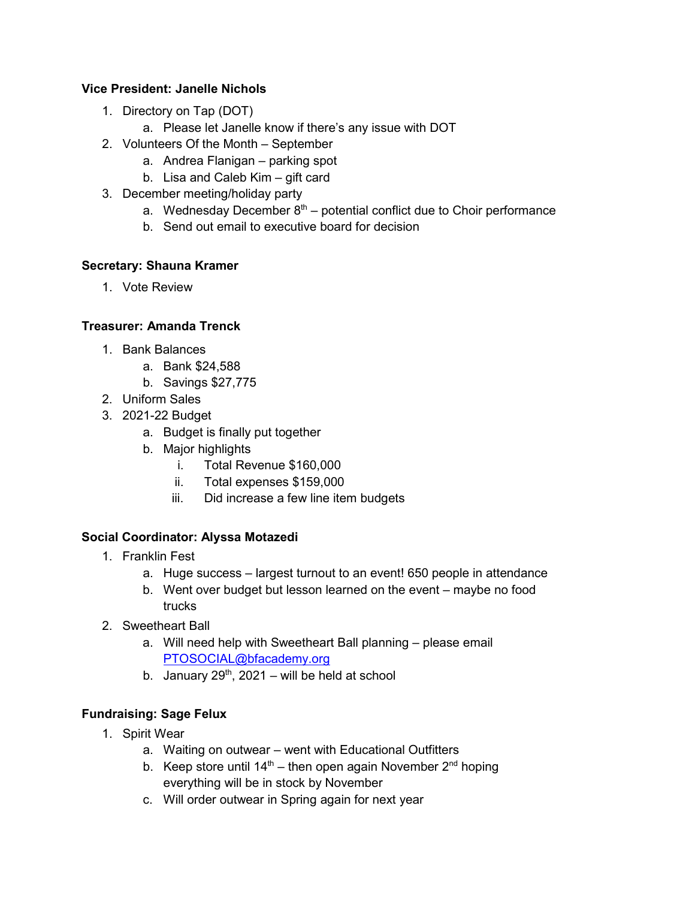#### **Vice President: Janelle Nichols**

- 1. Directory on Tap (DOT)
	- a. Please let Janelle know if there's any issue with DOT
- 2. Volunteers Of the Month September
	- a. Andrea Flanigan parking spot
	- b. Lisa and Caleb Kim gift card
- 3. December meeting/holiday party
	- a. Wednesday December  $8<sup>th</sup>$  potential conflict due to Choir performance
	- b. Send out email to executive board for decision

#### **Secretary: Shauna Kramer**

1. Vote Review

#### **Treasurer: Amanda Trenck**

- 1. Bank Balances
	- a. Bank \$24,588
	- b. Savings \$27,775
- 2. Uniform Sales
- 3. 2021-22 Budget
	- a. Budget is finally put together
	- b. Major highlights
		- i. Total Revenue \$160,000
		- ii. Total expenses \$159,000
		- iii. Did increase a few line item budgets

## **Social Coordinator: Alyssa Motazedi**

- 1. Franklin Fest
	- a. Huge success largest turnout to an event! 650 people in attendance
	- b. Went over budget but lesson learned on the event maybe no food trucks
- 2. Sweetheart Ball
	- a. Will need help with Sweetheart Ball planning please email [PTOSOCIAL@bfacademy.org](mailto:PTOSOCIAL@bfacademy.org)
	- b. January  $29<sup>th</sup>$ ,  $2021 -$  will be held at school

## **Fundraising: Sage Felux**

- 1. Spirit Wear
	- a. Waiting on outwear went with Educational Outfitters
	- b. Keep store until  $14<sup>th</sup>$  then open again November  $2<sup>nd</sup>$  hoping everything will be in stock by November
	- c. Will order outwear in Spring again for next year